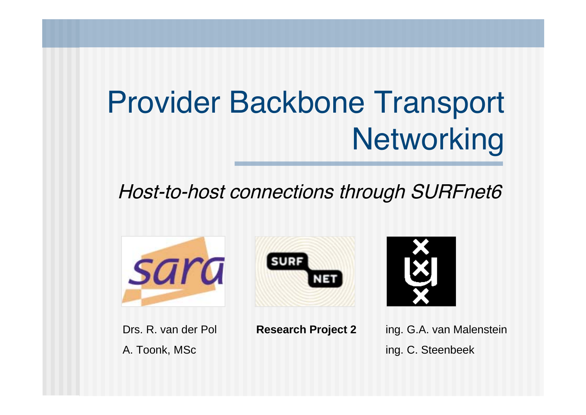# Provider Backbone Transport **Networking**

#### Host-to-host connections through SURFnet6





Drs. R. van der Pol A. Toonk, MSc



ing. G.A. van Malenstein ing. C. Steenbeek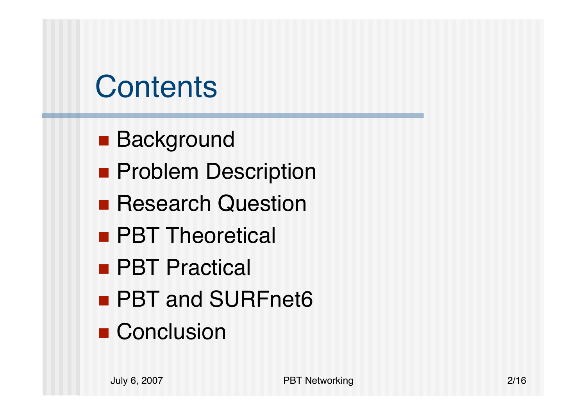# **Contents**

- Background
- **Problem Description**
- **Research Question**
- **PBT Theoretical**
- **PBT Practical**
- PBT and SURFnet6
- Conclusion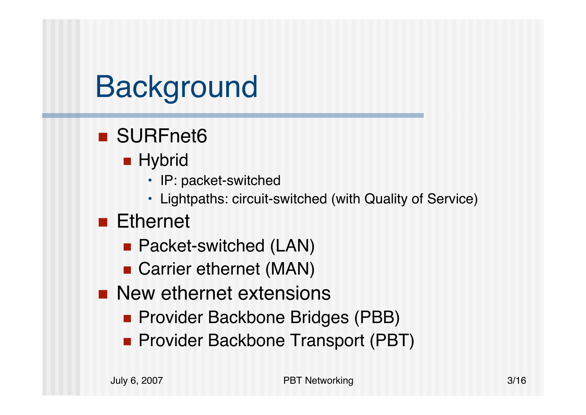# **Background**

- SURFnet6
	- $\blacksquare$  Hybrid
		- IP: packet-switched
		- Lightpaths: circuit-switched (with Quality of Service)

#### ■ Ethernet

- Packet-switched (LAN)
- Carrier ethernet (MAN)
- **New ethernet extensions** 
	- **Provider Backbone Bridges (PBB)**
	- **Provider Backbone Transport (PBT)**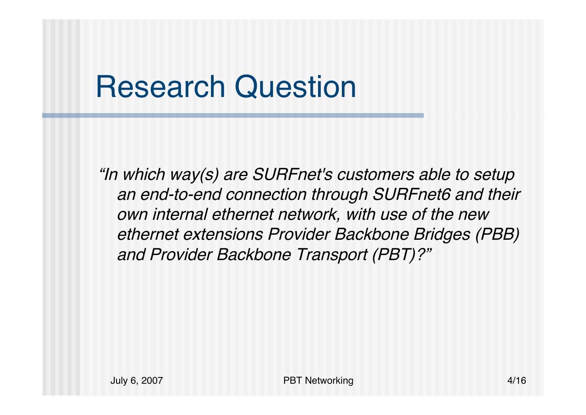## Research Question

"In which way(s) are SURFnet's customers able to setup an end-to-end connection through SURFnet6 and their own internal ethernet network, with use of the new ethernet extensions Provider Backbone Bridges (PBB) and Provider Backbone Transport (PBT)?"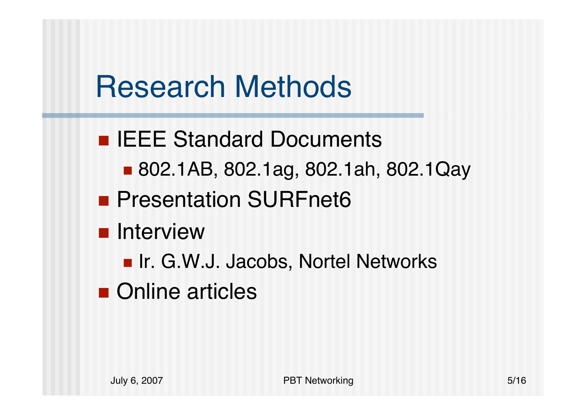## Research Methods

- **IEEE Standard Documents** 
	- 802.1AB, 802.1ag, 802.1ah, 802.1Qay
- **Presentation SURFnet6**
- **n** Interview
	- **Ir. G.W.J. Jacobs, Nortel Networks**
- Online articles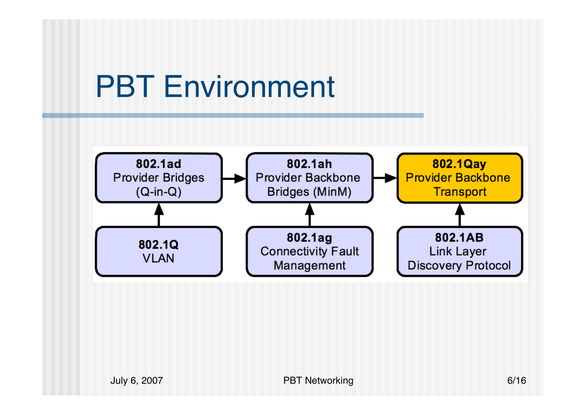#### PBT Environment

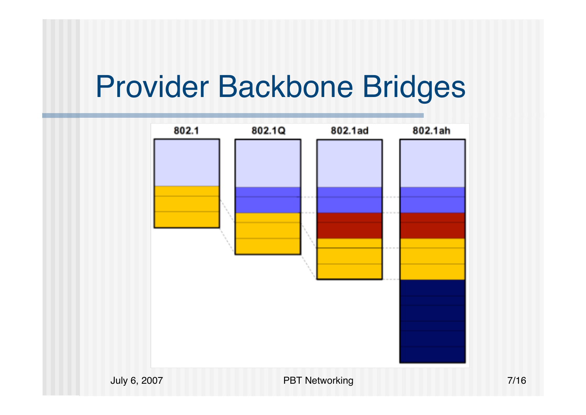#### Provider Backbone Bridges

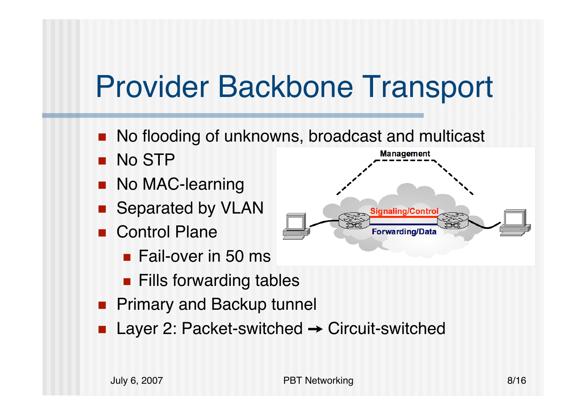## Provider Backbone Transport

- $\mathbb{R}^2$ ■ No flooding of unknowns, broadcast and multicast
- L. No STP
- k. No MAC-learning
- k. Separated by VLAN
- k. Control Plane
	- **Fail-over in 50 ms**
	- **Fills forwarding tables**
- **Primary and Backup tunnel**
- k. ■ Layer 2: Packet-switched → Circuit-switched

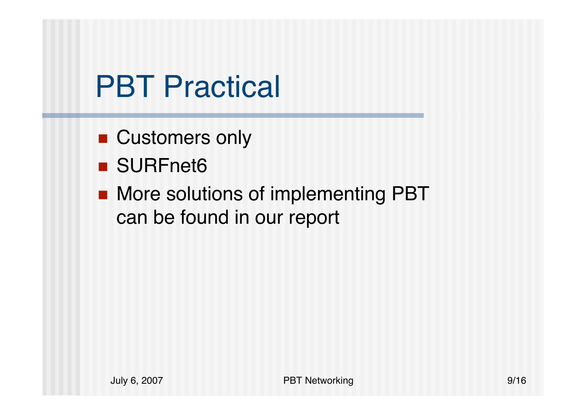## **PBT Practical**

- Customers only
- SURFnet6
- More solutions of implementing PBT can be found in our report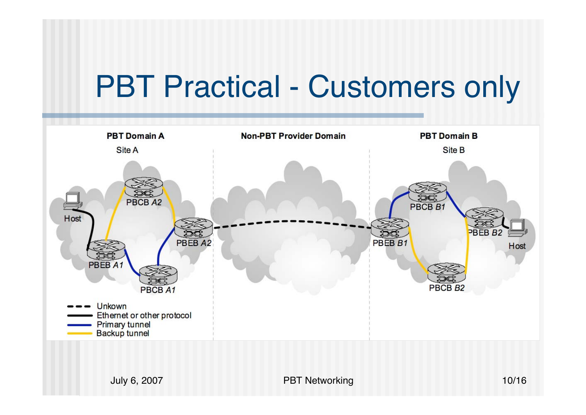#### PBT Practical - Customers only



July 6, 2007 PBT Networking 10/16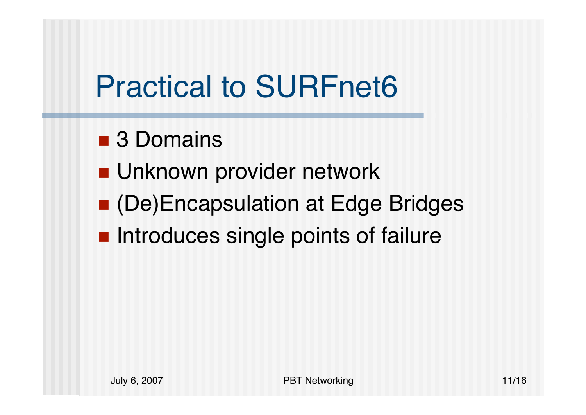# Practical to SURFnet6

- 3 Domains
- Unknown provider network
- (De)Encapsulation at Edge Bridges
- **Introduces single points of failure**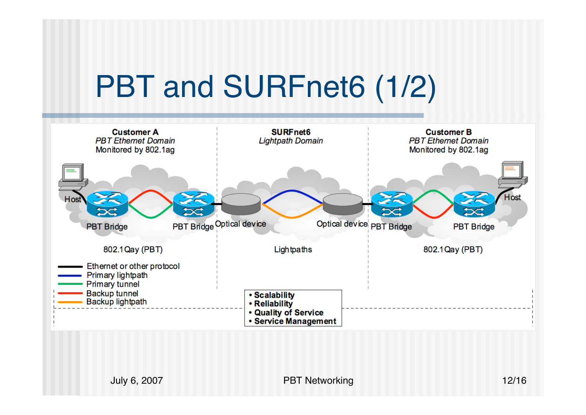# PBT and SURFnet6 (1/2)

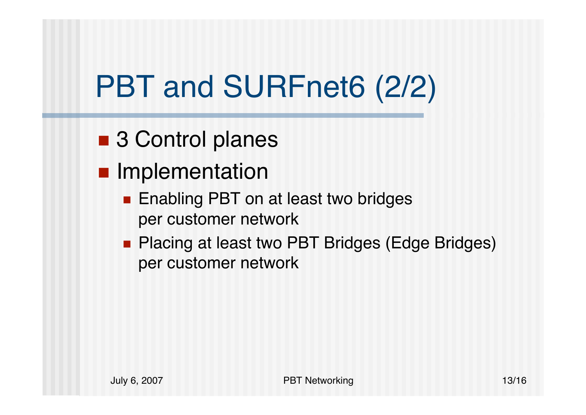# PBT and SURFnet6 (2/2)

- 3 Control planes
- **Implementation** 
	- Enabling PBT on at least two bridges per customer network
	- **Placing at least two PBT Bridges (Edge Bridges)** per customer network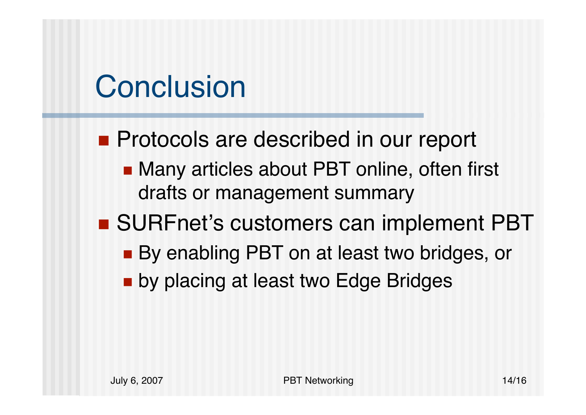# **Conclusion**

- **Protocols are described in our report** 
	- Many articles about PBT online, often first drafts or management summary

#### ■ SURFnet's customers can implement PBT

- By enabling PBT on at least two bridges, or
- **De by placing at least two Edge Bridges**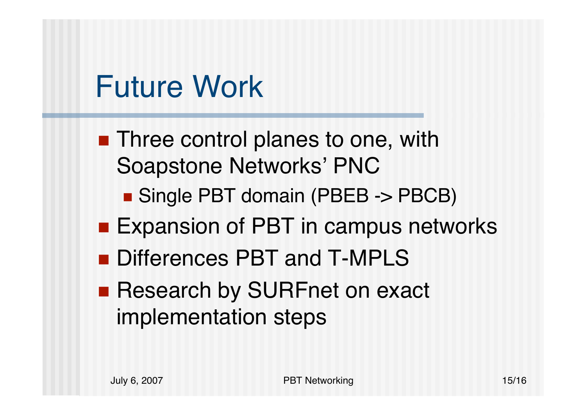## Future Work

- **Three control planes to one, with** Soapstone Networks' PNC
	- Single PBT domain (PBEB -> PBCB)
- Expansion of PBT in campus networks
- Differences PBT and T-MPLS
- **Research by SURFnet on exact** implementation steps

July 6, 2007 PBT Networking 15/16